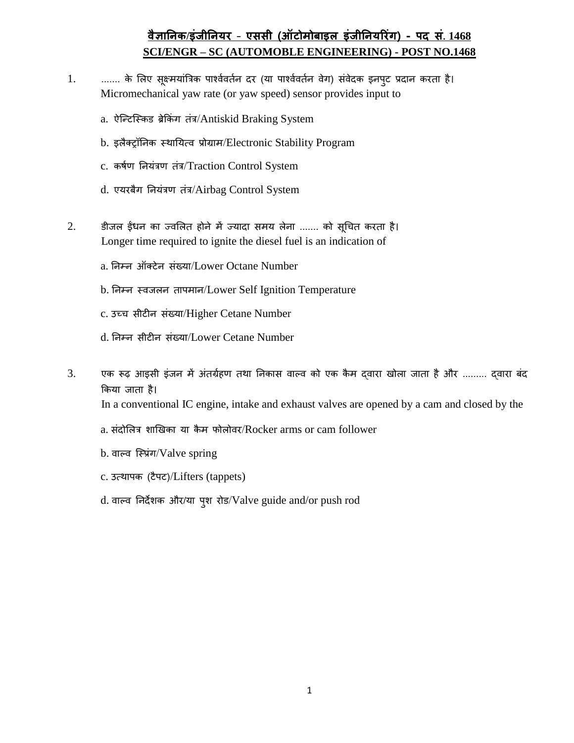## **वैज्ञानिक/इंजीनियर** – **एससी (ऑटोमोबाइल इंजीनियररंग) - पद सं. 1468 SCI/ENGR – SC (AUTOMOBLE ENGINEERING) - POST NO.1468**

- 1. ....... के लिए सूक्ष्मयांत्रिक पार्श्ववर्तन दर (या पार्श्ववर्तन वेग) संवेदक इनपुट प्रदान करता है। Micromechanical yaw rate (or yaw speed) sensor provides input to
	- a. ऐन्टिस्किड ब्रेकिंग तंत्र/Antiskid Braking System
	- b. इलैक्ट्रॉनिक स्थायित्व प्रोग्राम/Electronic Stability Program
	- c. कर्षण नियंत्रण तंत्र/Traction Control System
	- d. एयरबैग नियंत्रण तंत्र/Airbag Control System
- 2. डीजल ईंधन का ज्वलित होने में ज्यादा समय लेना ....... को सूचित करता है। Longer time required to ignite the diesel fuel is an indication of
	- a. निम्न ऑक्टेन संख्या/Lower Octane Number
	- b. निम्न स्वजलन तापमान/Lower Self Ignition Temperature
	- c. उच्च सीटीन संख्या/Higher Cetane Number
	- d. ननम्न सीटीन सांख्य /Lower Cetane Number
- 3. एक रूढ़ आइसी इंजन में अंतर्ग्रहण तथा निकास वाल्व को एक कैम दवारा खोला जाता है और ......... दवारा बंद किया जाता है।

In a conventional IC engine, intake and exhaust valves are opened by a cam and closed by the

- a. संदोलित्र शाखिका या कैम फोलोवर/Rocker arms or cam follower
- b. वाल्व स्प्रिंग/Valve spring
- c. उत्थापक (टैपट)/Lifters (tappets)
- d. वाल्व निर्देशक और/या प्श रोड/Valve guide and/or push rod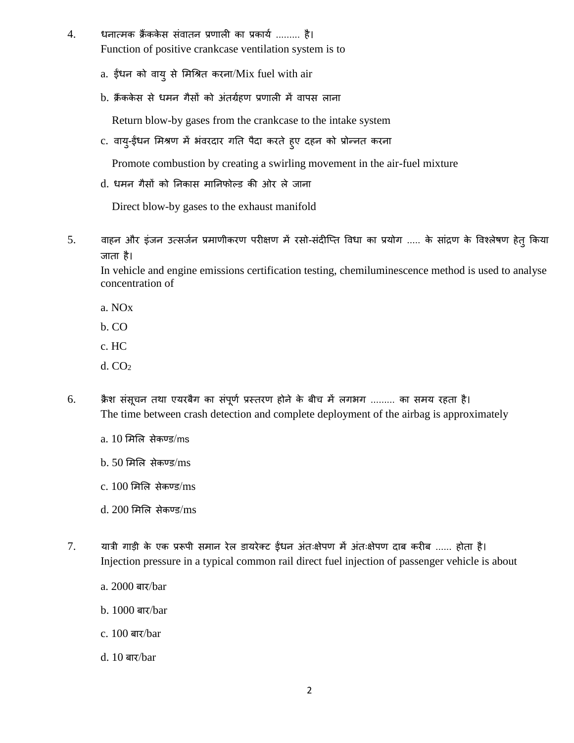- 4. धनात्मक क्रैंककेस संवातन प्रणाली का प्रकार्य ......... है। Function of positive crankcase ventilation system is to
	- a. ईंधन को वायु से मिश्रित करना/Mix fuel with air
	- b. क्रैंककेस से धमन गैसों को अंतर्ग्रहण प्रणाली में वापस लाना

Return blow-by gases from the crankcase to the intake system

c. वायु-ईंधन मिश्रण में भंवरदार गति पैदा करते हुए दहन को प्रोन्नत करना

Promote combustion by creating a swirling movement in the air-fuel mixture

d. धमन गैसों को निकास मानिफोल्ड की ओर ले जाना

Direct blow-by gases to the exhaust manifold

5. वाहन और इंजन उत्सर्जन प्रमाणीकरण परीक्षण में रसो-संदीप्ति विधा का प्रयोग ..... के सांद्रण के विश्लेषण हेत् किया जाता है।

In vehicle and engine emissions certification testing, chemiluminescence method is used to analyse concentration of

- a. NOx
- b. CO
- c. HC
- $d. CO<sub>2</sub>$
- 6. कैश संसूचन तथा एयरबैग का संपूर्ण प्रस्तरण होने के बीच में लगभग ......... का समय रहता है। The time between crash detection and complete deployment of the airbag is approximately
	- $a. 10$  मिलि सेकण्ड/ms
	- $b. 50$  मिलि सेकण्ड/ $ms$
	- c. 100 लमलि सेकण्ड/ms
	- d. 200 लमलि सेकण्ड/ms
- 7. यात्री गाड़ी के एक प्ररूपी समान रेल डायरेक्ट ईंधन अंतःक्षेपण में अंतःक्षेपण दाब करीब ...... होता है। Injection pressure in a typical common rail direct fuel injection of passenger vehicle is about
	- a.  $2000$  बार/bar
	- $b. 1000$  बार/ $bar$
	- c.  $100$  बार/bar
	- d.  $10 \frac{1}{\text{N}}$ bar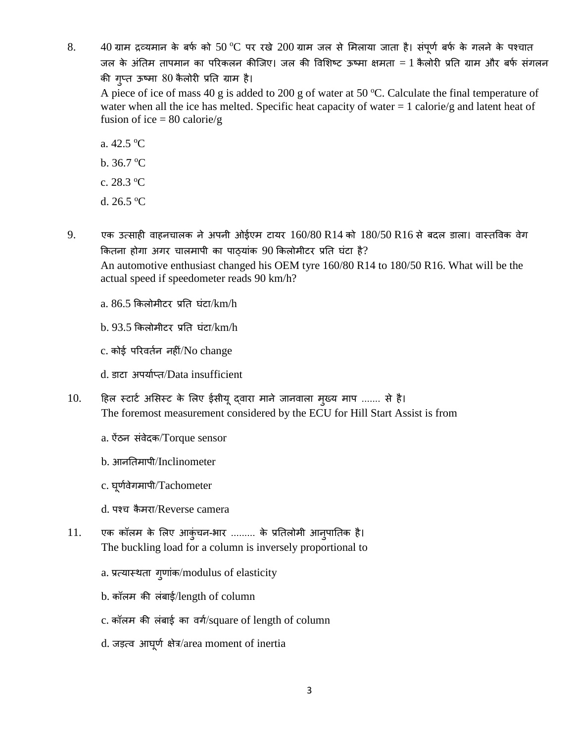8. 40 ग्राम द्रव्यमान के बर्फ को 50 °C पर रखे 200 ग्राम जल से मिलाया जाता है। संपूर्ण बर्फ के गलने के पश्चात जल के अंतिम तापमान का परिकलन कीजिए। जल की विशिष्ट ऊष्मा क्षमता = 1 कैलोरी प्रति ग्राम और बर्फ संगलन की गुप्त ऊष्मा 80 कैलोरी प्रति ग्राम है। A piece of ice of mass 40 g is added to 200 g of water at 50  $^{\circ}$ C. Calculate the final temperature of water when all the ice has melted. Specific heat capacity of water  $= 1$  calorie/g and latent heat of

a.  $42.5\text{ °C}$ 

fusion of ice  $= 80$  calorie/g

- b.  $36.7 \text{ °C}$
- c.  $28.3 \text{ °C}$
- d. 26.5 <sup>o</sup>C

9. एक उत्साही वाहनचालक ने अपनी ओईएम टायर 160/80 R14 को 180/50 R16 से बदल डाला। वास्तविक वेग कितना होगा अगर चालमापी का पाठ्यांक 90 किलोमीटर प्रति घंटा है? An automotive enthusiast changed his OEM tyre 160/80 R14 to 180/50 R16. What will be the actual speed if speedometer reads 90 km/h?

a. 86.5 किलोमीटर प्रति घंटा/km/h

b.  $93.5$  किलोमीटर प्रति घंटा/km/h

c. कोई परर्र्वन नहीां/No change

d. डाटा अपर्याप्त/Data insufficient

- 10. हिल स्टार्ट असिस्ट के लिए ईसीयू दवारा माने जानवाला मुख्य माप ....... से है। The foremost measurement considered by the ECU for Hill Start Assist is from
	- a. ऐंठन संवेदक/Torque sensor
	- b. आननर्म पी/Inclinometer
	- c. घूर्णवेगमापी/Tachometer
	- d. पश्च कैमरा/Reverse camera
- 11. एक कॉलम के लिए आकुंचन-भार ......... के प्रतिलोमी आनुपातिक है। The buckling load for a column is inversely proportional to
	- a. प्रत्यास्थता गुणांक/modulus of elasticity
	- b. कॉलम की लंबाई/length of column
	- c. कॉलम की लंबाई का वर्ग/square of length of column
	- d. जड़त्व आघूर्ण क्षेत्र/area moment of inertia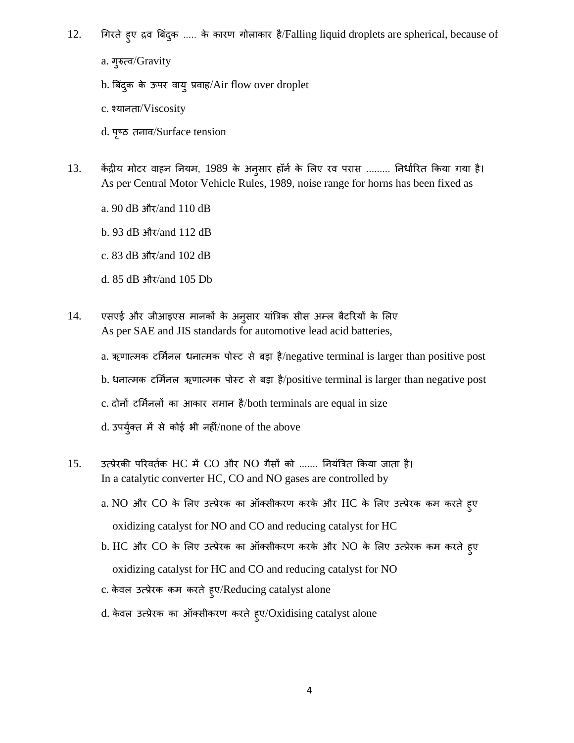- 12. गिरते हुए द्रव बिंदुक ..... के कारण गोलाकार है/Falling liquid droplets are spherical, because of
	- a. गुरुत्व/Gravity
	- b. बिंदुक के ऊपर वाय् प्रवाह/Air flow over droplet
	- c. श्यानता/Viscosity
	- d. पृष्ठ तनाव/Surface tension
- 13. केंद्रीय मोटर वाहन नियम, 1989 के अनुसार हॉर्न के लिए रव परास ......... निर्धारित किया गया है। As per Central Motor Vehicle Rules, 1989, noise range for horns has been fixed as
	- a. 90 dB और/and 110 dB
	- b. 93 dB और/and 112 dB
	- c. 83 dB और/and 102 dB
	- d. 85 dB और/and 105 Db
- 14. एसएई और जीआइएस मानकों के अनुसार यांत्रिक सीस अम्ल बैटरियों के लिए As per SAE and JIS standards for automotive lead acid batteries,
	- a. ऋणात्मक टर्मिनल धनात्मक पोस्ट से बड़ा है/negative terminal is larger than positive post
	- b. धनात्मक टर्मिनल ऋणात्मक पोस्ट से बड़ा है/positive terminal is larger than negative post
	- c. दोनों टर्मिनलों का आकार समान है/both terminals are equal in size
	- d. उपर्युक्त में से कोई भी नहीं/none of the above
- 15. उत्प्रेरकी परिवर्तक HC में CO और NO गैसों को ....... नियंत्रित किया जाता है। In a catalytic converter HC, CO and NO gases are controlled by
	- a. NO और CO के लिए उत्प्रेरक का ऑक्सीकरण करके और HC के लिए उत्प्रेरक कम करते हुए oxidizing catalyst for NO and CO and reducing catalyst for HC
	- b. HC और CO के लिए उत्प्रेरक का ऑक्सीकरण करके और NO के लिए उत्प्रेरक कम करते हुए oxidizing catalyst for HC and CO and reducing catalyst for NO
	- c. केवल उत्प्रेरक कम करते हुए/Reducing catalyst alone
	- d. केवल उत्प्रेरक का ऑक्सीकरण करते हुए/Oxidising catalyst alone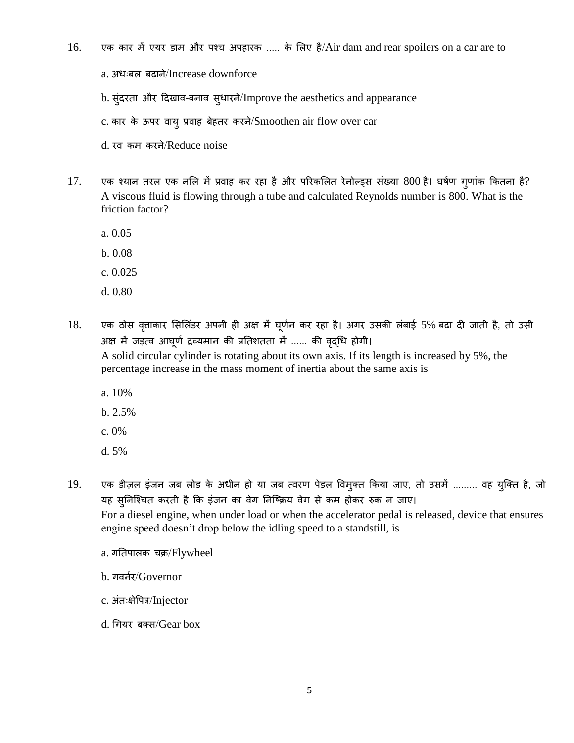- 16. एक कार में एयर डाम और पश्च अपहारक ..... के लिए है/Air dam and rear spoilers on a car are to
	- a. अधःबल बढ़ाने/Increase downforce
	- b. सुंदरता और दिखाव-बनाव सुधारने/Improve the aesthetics and appearance
	- $c$ . कार के ऊपर वाय् प्रवाह बेहतर करने/Smoothen air flow over  $car$
	- d. रव कम करने/Reduce noise
- 17. एक श्यान तरल एक नलि में प्रवाह कर रहा है और परिकलित रेनोल्ड्स संख्या  $800$  है। घर्षण ग्णांक कितना है? A viscous fluid is flowing through a tube and calculated Reynolds number is 800. What is the friction factor?
	- a. 0.05
	- b. 0.08
	- c. 0.025
	- d. 0.80
- 18. एक ठोस वृत्ताकार सिलिंडर अपनी ही अक्ष में घूर्णन कर रहा है। अगर उसकी लंबाई 5% बढ़ा दी जाती है, तो उसी अक्ष में जड़त्व आघूर्ण द्रव्यमान की प्रतिशतता में ...... की वृद्धि होगी। A solid circular cylinder is rotating about its own axis. If its length is increased by 5%, the percentage increase in the mass moment of inertia about the same axis is
	- a. 10%
	- b. 2.5%
	- c. 0%
	- d. 5%
- 19. पक डीज़ल इंजन जब लोड के अधीन हो या जब त्वरण पेडल विमुक्त किया जाए, तो उसमें ......... वह युक्ति है, जो यह सुनिश्चित करती है कि इंजन का वेग निष्क्रिय वेग से कम होकर रुक न जाए। For a diesel engine, when under load or when the accelerator pedal is released, device that ensures engine speed doesn't drop below the idling speed to a standstill, is
	- a. गतिपालक चक्र/Flywheel
	- b. ग्नवर/Governor
	- c. अंतःक्षेपित्र/Injector
	- d. चगयर बक्ट्स/Gear box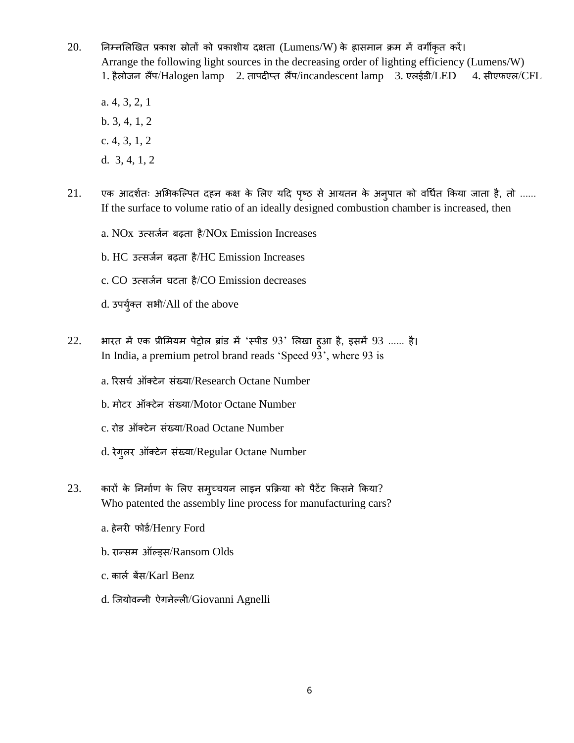- $20.$  निम्नलिखित प्रकाश स्रोतों को प्रकाशीय दक्षता (Lumens/W) के ह्रासमान क्रम में वर्गीकृत करें। Arrange the following light sources in the decreasing order of lighting efficiency (Lumens/W) 1. हैलोजन लैंप/Halogen lamp 2. तापदीप्त लैंप/incandescent lamp 3. एलईडी/LED 4. सीएफएल/CFL
	- a. 4, 3, 2, 1 b. 3, 4, 1, 2 c. 4, 3, 1, 2
	- d. 3, 4, 1, 2
- 21. एक आदर्शतः अभिकल्पित दहन कक्ष के लिए यदि पृष्ठ से आयतन के अनुपात को वर्धित किया जाता है, तो ...... If the surface to volume ratio of an ideally designed combustion chamber is increased, then
	- a. NOx उत्सर्जन बढ़ता है/NOx Emission Increases
	- b. HC उत्सर्जन बढ़ता है/HC Emission Increases
	- c. CO उत्सर्जन घटता है/CO Emission decreases
	- d. उपयुक्ट्व र् सभी/All of the above
- $22.$  भारत में एक प्रीमियम पेट्रोल ब्रांड में 'स्पीड  $93$ ' लिखा हुआ है, इसमें  $93$  ...... है। In India, a premium petrol brand reads 'Speed 93', where 93 is
	- a. रिसर्च ऑक्टेन संख्या/Research Octane Number
	- b. मोटर ऑक्टेन संख्या/Motor Octane Number
	- c. रोड ऑक्ट्टेन सांख्य /Road Octane Number
	- d. रेगुलर ऑक्टेन संख्या/Regular Octane Number
- $23.$  कारों के निर्माण के लिए समुच्चयन लाइन प्रक्रिया को पैटेंट किसने किया? Who patented the assembly line process for manufacturing cars?
	- a. हेनरी फोर्ड/Henry Ford
	- b. रान्सम ऑल्ड्स/Ransom Olds
	- c. कार्ल बेंस/Karl Benz
	- d. न्जयो्टनी ऐगनेल्िी/Giovanni Agnelli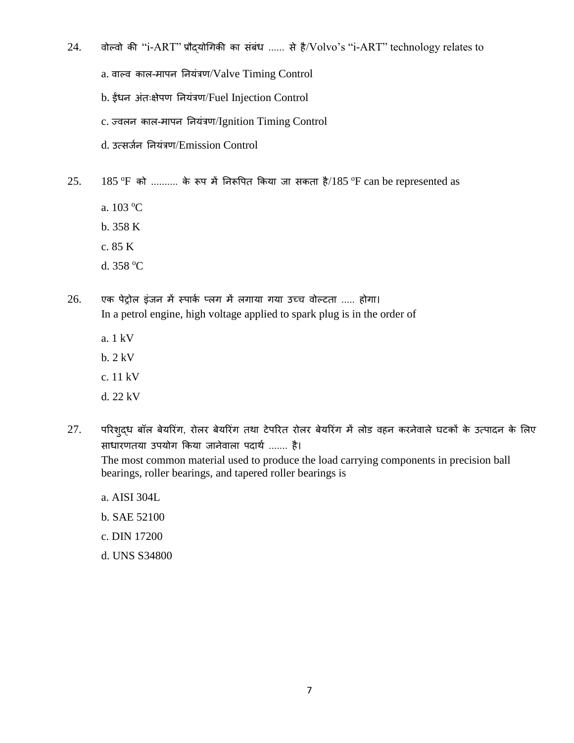- 24. वोल्वो की "i-ART" प्रौदयोगिकी का संबंध ...... से है/Volvo's "i-ART" technology relates to a. वाल्व काल-मापन नियंत्रण/Valve Timing Control
	- b. ईंधन अंतःक्षेपण नियंत्रण/Fuel Injection Control
	- c. ज्वलन काल-मापन नियंत्रण/Ignition Timing Control
	- d. उत्सजवन ननयांिण/Emission Control
- 25. 185  $\mathrm{F}$  को .......... के रूप में निरूपित किया जा सकता है/185  $\mathrm{F}$  can be represented as
	- a. 103 °C
	- b. 358 K
	- c. 85 K
	- d.  $358 °C$
- $26.$  एक पेट्रोल इंजन में स्पार्क प्लग में लगाया गया उच्च वोल्टता ..... होगा। In a petrol engine, high voltage applied to spark plug is in the order of
	- a. 1 kV
	- b. 2 kV
	- c. 11 kV
	- d. 22 kV
- $27.$  परिशुदध बॉल बेयरिंग, रोलर बेयरिंग तथा टेपरित रोलर बेयरिंग में लोड वहन करनेवाले घटकों के उत्पादन के लिए साधारणतया उपयोग किया जानेवाला पदार्थ ....... है। The most common material used to produce the load carrying components in precision ball
	- bearings, roller bearings, and tapered roller bearings is
	- a. AISI 304L
	- b. SAE 52100
	- c. DIN 17200
	- d. UNS S34800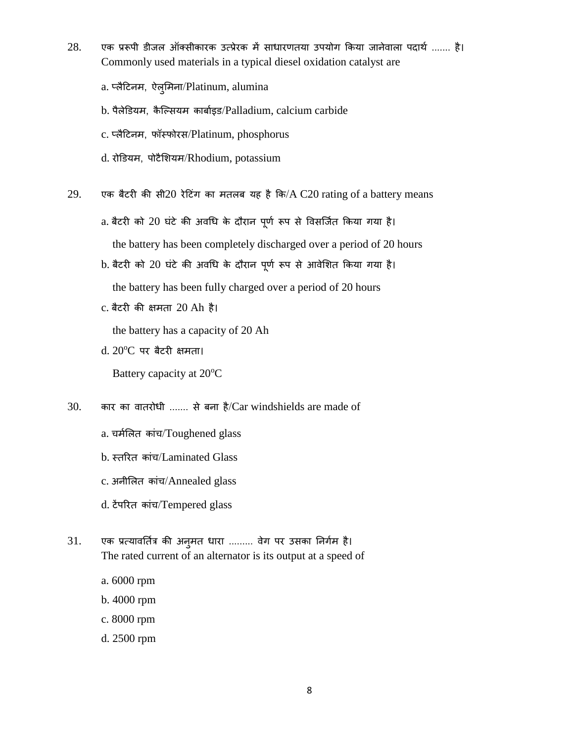- $28.$  एक प्ररूपी डीजल ऑक्सीकारक उत्प्रेरक में साधारणतया उपयोग किया जानेवाला पदार्थ ....... है। Commonly used materials in a typical diesel oxidation catalyst are
	- a. प्लैटिनम, ऐलुमिना/Platinum, alumina
	- b. पैलेडियम, कैल्सियम कार्बाइड/Palladium, calcium carbide
	- c. तिैहटनम, फॉकफोरस/Platinum, phosphorus
	- d. रोडडयम, पोटैलशयम/Rhodium, potassium
- 29. एक बैटरी की सी20 रेटिंग का मतलब यह है कि/A C20 rating of a battery means
	- a. बैटरी को 20 घंटे की अवधि के दौरान पूर्ण रूप से विसर्जित किया गया है। the battery has been completely discharged over a period of 20 hours
	- b. बैटरी को 20 घंटे की अवधि के दौरान पूर्ण रूप से आवेशित किया गया है। the battery has been fully charged over a period of 20 hours
	- c. बैटरी की क्षमता 20 Ah है।

the battery has a capacity of 20 Ah

 $d. 20^{\circ}$ C पर बैटरी क्षमता।

Battery capacity at 20<sup>o</sup>C

- 30. कार का वातरोधी ....... से बना है/Car windshields are made of
	- a. चर्मलित कांच/Toughened glass
	- b. स्तरित कांच/Laminated Glass
	- c. अनीलित कांच/Annealed glass
	- d. टेंपरित कांच/Tempered glass
- 31. एक प्रत्यावर्तित्र की अनुमत धारा ......... वेग पर उसका निर्गम है। The rated current of an alternator is its output at a speed of
	- a. 6000 rpm
	- b. 4000 rpm
	- c. 8000 rpm
	- d. 2500 rpm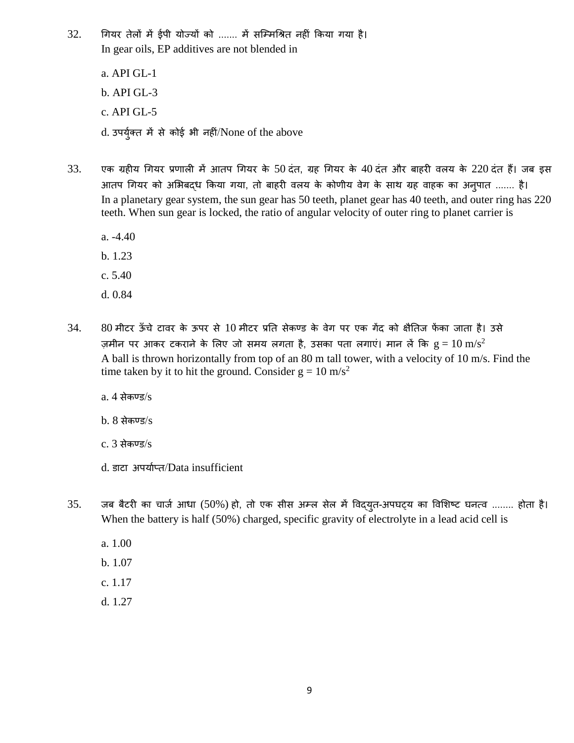32. चगयर र्ेिों में ईपी योज्यों को ....... में सन्म्मचिर् नहीां ककय गय है। In gear oils, EP additives are not blended in

- a. API GL-1 b. API GL-3 c. API GL-5 d. उपर्युक्त में से कोई भी नहीं/None of the above
- $33.$  एक ग्रहीय गियर प्रणाली में आतप गियर के 50 दंत, ग्रह गियर के 40 दंत और बाहरी वलय के 220 दंत हैं। जब इस आतप गियर को अभिबद्ध किया गया, तो बाहरी वलय के कोणीय वेग के साथ ग्रह वाहक का अन्पात ....... है। In a planetary gear system, the sun gear has 50 teeth, planet gear has 40 teeth, and outer ring has 220 teeth. When sun gear is locked, the ratio of angular velocity of outer ring to planet carrier is
	- a. -4.40
	- b. 1.23
	- c. 5.40
	- d. 0.84
- 34. 80 मीटर ऊँचे टावर के ऊपर से 10 मीटर प्रति सेकण्ड के वेग पर एक गेंद को क्षैतिज फेंका जाता है। उसे ज़मीन पर आकर टकराने के लिए जो समय लगता है, उसका पता लगाएं। मान लें कि  $\rm g = 10 \ m/s^2$ A ball is thrown horizontally from top of an 80 m tall tower, with a velocity of 10 m/s. Find the time taken by it to hit the ground. Consider  $g = 10 \text{ m/s}^2$ 
	- $a. 4$  सेकण्ड/ $s$
	- b. 8 सेकण्ड/s
	- c. 3 सेकण्ड/s
	- d. डाटा अपर्याप्त/Data insufficient
- 35. जब बैटरी का चार्ज आधा (50%) हो, तो एक सीस अम्ल सेल में विद्युत-अपघट्य का विशिष्ट घनत्व ........ होता है। When the battery is half (50%) charged, specific gravity of electrolyte in a lead acid cell is
	- a. 1.00
	- b. 1.07
	- c. 1.17
	- d. 1.27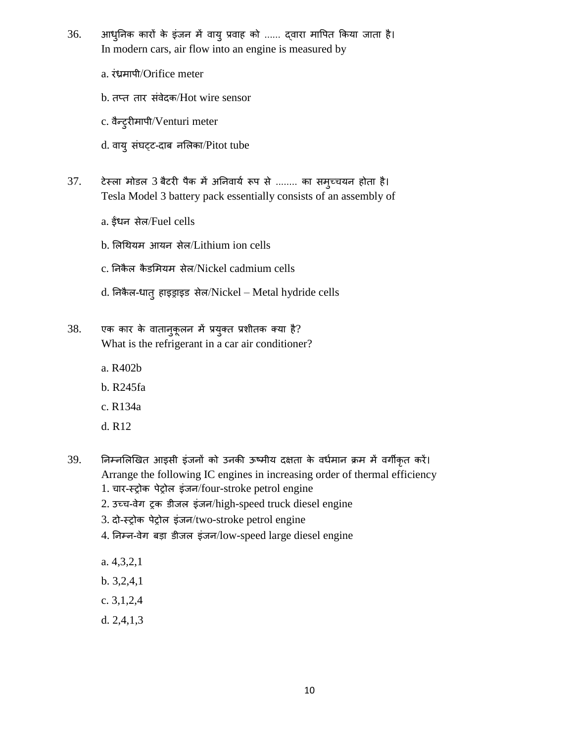- 36. आधुनिक कारों के इंजन में वायु प्रवाह को ...... द्वारा मापित किया जाता है। In modern cars, air flow into an engine is measured by
	- a. रंध्रमापी/Orifice meter
	- b. तप्त तार संवेदक/Hot wire sensor
	- c. वैन्ट्रीमापी/Venturi meter
	- d. वाय् संघट्ट-दाब नलिका/Pitot tube
- 37. टेस्ला मोडल 3 बैटरी पैक में अनिवार्य रूप से ........ का समुच्चयन होता है। Tesla Model 3 battery pack essentially consists of an assembly of
	- a. ईंधन सेल/Fuel cells
	- b. लिथियम आयन सेल/Lithium ion cells
	- c. निकैल कैडमियम सेल/Nickel cadmium cells
	- d. निकैल-धातु हाइड्राइड सेल/Nickel Metal hydride cells
- 38. एक कार के वातान्कूलन में प्रयुक्त प्रशीतक क्या है? What is the refrigerant in a car air conditioner?
	- a. R402b
	- b. R245fa
	- c. R134a
	- d. R12
- 39. निम्नलिखित आइसी इंजनों को उनकी ऊष्मीय दक्षता के वर्धमान क्रम में वर्गीकृत करें। Arrange the following IC engines in increasing order of thermal efficiency
	- 1. चार-स्ट्रोक पेट्रोल इंजन/four-stroke petrol engine
	- 2. उच्च-वेग ट्रक डीजल इंजन/high-speed truck diesel engine
	- 3. दो-स्ट्रोक पेट्रोल इंजन/two-stroke petrol engine
	- 4. निम्न-वेग बड़ा डीजल इंजन/low-speed large diesel engine
	- a. 4,3,2,1
	- b. 3,2,4,1
	- c. 3,1,2,4
	- d. 2,4,1,3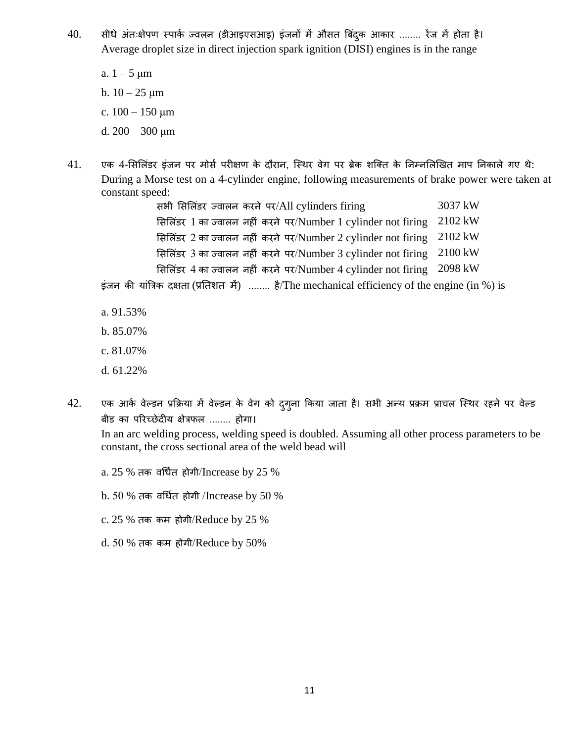40. सीधे अंतःक्षेपण स्पार्क ज्वलन (डीआइएसआइ) इंजनों में औसत बिंदुक आकार ........ रेंज में होता है। Average droplet size in direct injection spark ignition (DISI) engines is in the range

- a.  $1 5 \mu m$
- b.  $10 25 \mu m$
- c.  $100 150 \mu m$
- d.  $200 300 \mu m$
- 41. एक 4-सिलिंडर इंजन पर मोर्स परीक्षण के दौरान, स्थिर वेग पर ब्रेक शक्ति के निम्नलिखित माप निकाले गए थे: During a Morse test on a 4-cylinder engine, following measurements of brake power were taken at constant speed:

सभी सिलिंडर ज्वालन करने पर/All cylinders firing  $3037 \text{ kW}$ सिलिंडर 1 का ज्वालन नहीं करने पर/Number 1 cylinder not firing 2102 kW सिलिंडर 2 का ज्वालन नहीं करने पर/Number 2 cylinder not firing 2102 kW सिलिंडर 3 का ज्वालन नहीं करने पर/Number 3 cylinder not firing 2100 kW सिलिंडर 4 का ज्वालन नहीं करने पर/Number 4 cylinder not firing 2098 kW

इंजन की यांत्रिक दक्षता (प्रतिशत में) ........ है/The mechanical efficiency of the engine (in %) is

- a. 91.53%
- b. 85.07%
- c. 81.07%
- d. 61.22%
- 42. एक आर्क वेल्डन प्रक्रिया में वेल्डन के वेग को दुगुना किया जाता है। सभी अन्य प्रक्रम प्राचल स्थिर रहने पर वेल्ड बीड का परिच्छेदीय क्षेत्रफल ........ होगा।

In an arc welding process, welding speed is doubled. Assuming all other process parameters to be constant, the cross sectional area of the weld bead will

- a.  $25%$  तक वर्धित होगी/Increase by  $25%$
- b.  $50\%$  तक वर्धित होगी /Increase by  $50\%$
- c. 25 % र्क कम होगी/Reduce by 25 %
- d. 50 % र्क कम होगी/Reduce by 50%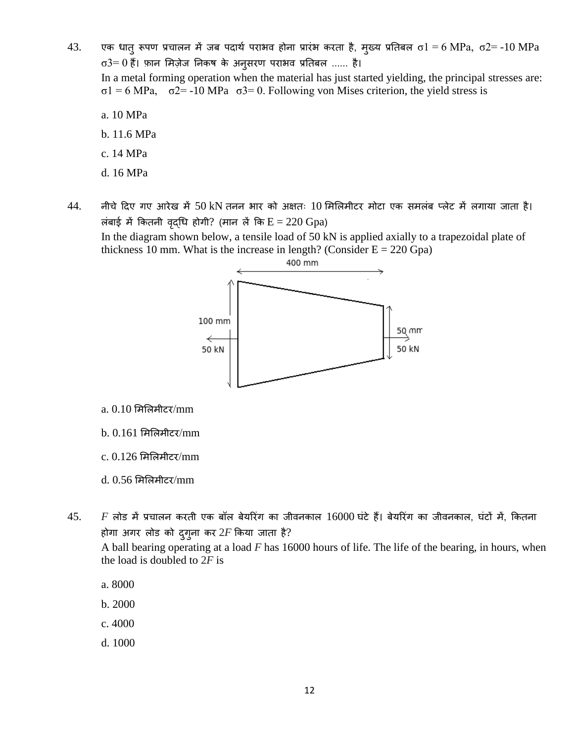$43.$  एक धात् रूपण प्रचालन में जब पदार्थ पराभव होना प्रारंभ करता है, मुख्य प्रतिबल σ $1 = 6 \text{ MPa}$ , σ $2 = -10 \text{ MPa}$  $\sigma$ 3=  $0$  हैं। फ़ान मिज़ेज निकष के अनुसरण पराभव प्रतिबल ...... है। In a metal forming operation when the material has just started yielding, the principal stresses are:  $σ1 = 6 MPa$ ,  $σ2 = -10 MPa$   $σ3 = 0$ . Following von Mises criterion, the yield stress is

a. 10 MPa

- b. 11.6 MPa
- c. 14 MPa
- d. 16 MPa
- $44.$  नीचे दिए गए आरेख में 50 kN तनन भार को अक्षतः 10 मिलिमीटर मोटा एक समलंब प्लेट में लगाया जाता है। लंबाई में कितनी वृद्धि होगी? (मान लें कि $E = 220$  Gpa) In the diagram shown below, a tensile load of 50 kN is applied axially to a trapezoidal plate of

thickness 10 mm. What is the increase in length? (Consider  $E = 220$  Gpa)



 $a. 0.10$  मिलिमीटर/mm

 $b. 0.161$  मिलिमीटर/mm

- c. 0.126 लमलिमीटर/mm
- d. 0.56 लमलिमीटर/mm
- $45.$  *F* लोड में प्रचालन करती एक बॉल बेयरिंग का जीवनकाल  $16000$  घंटे हैं। बेयरिंग का जीवनकाल, घंटों में, कितना होगा अगर लोड को द्**ग्**ना कर  $2F$  किया जाता है?

A ball bearing operating at a load *F* has 16000 hours of life. The life of the bearing, in hours, when the load is doubled to 2*F* is

- a. 8000
- b. 2000
- c. 4000
- d. 1000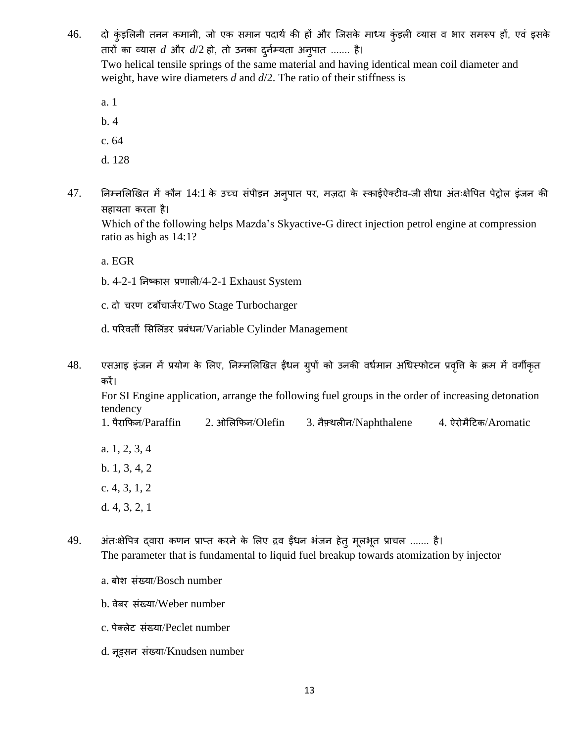- 46. दो कुंइलिनी तनन कमानी, जो एक समान पदार्थ की हों और जिसके माध्य कुंइली व्यास व भार समरूप हों, एवं इसके तारों का व्यास *d* और *d/*2 हो, तो उनका दुर्नम्यता अनुपात ....... है। Two helical tensile springs of the same material and having identical mean coil diameter and weight, have wire diameters *d* and *d*/2. The ratio of their stiffness is
	- a. 1
	- b. 4
	- c. 64
	- d. 128
- 47. निम्नलिखित में कौन 14:1 के उच्च संपीड़न अनुपात पर, मज़दा के स्काईऐक्टीव-जी सीधा अंतःक्षेपित पेट्रोल इंजन की सहायता करता है।

Which of the following helps Mazda's Skyactive-G direct injection petrol engine at compression ratio as high as 14:1?

a. EGR

- b. 4-2-1 निष्कास प्रणाली/4-2-1 Exhaust System
- c. दो चरण टर्बोचार्जर/Two Stage Turbocharger
- d. परिवर्ती सिलिंडर प्रबंधन/Variable Cylinder Management
- 48. एसआइ इंजन में प्रयोग के लिए, निम्नलिखित ईंधन ग्रुपों को उनकी वर्धमान अधिस्फोटन प्रवृत्ति के क्रम में वर्गीकृत करें।

For SI Engine application, arrange the following fuel groups in the order of increasing detonation tendency

1. पैराफिन/Paraffin 2. ओलिफिन/Olefin 3. नैफ़्थलीन/Naphthalene 4. ऐरोमैटिक/Aromatic

a. 1, 2, 3, 4

- b. 1, 3, 4, 2
- c. 4, 3, 1, 2
- d. 4, 3, 2, 1
- 49. अंतःक्षेपित्र द्वारा कणन प्राप्त करने के लिए द्रव ईंधन भंजन हेत् मूलभूत प्राचल ....... है। The parameter that is fundamental to liquid fuel breakup towards atomization by injector
	- a. बोश संख्या/Bosch number
	- b. वेबर संख्या/Weber number
	- c. पेक्लेट संख्या/Peclet number
	- d. नूड्सन संख्या/Knudsen number